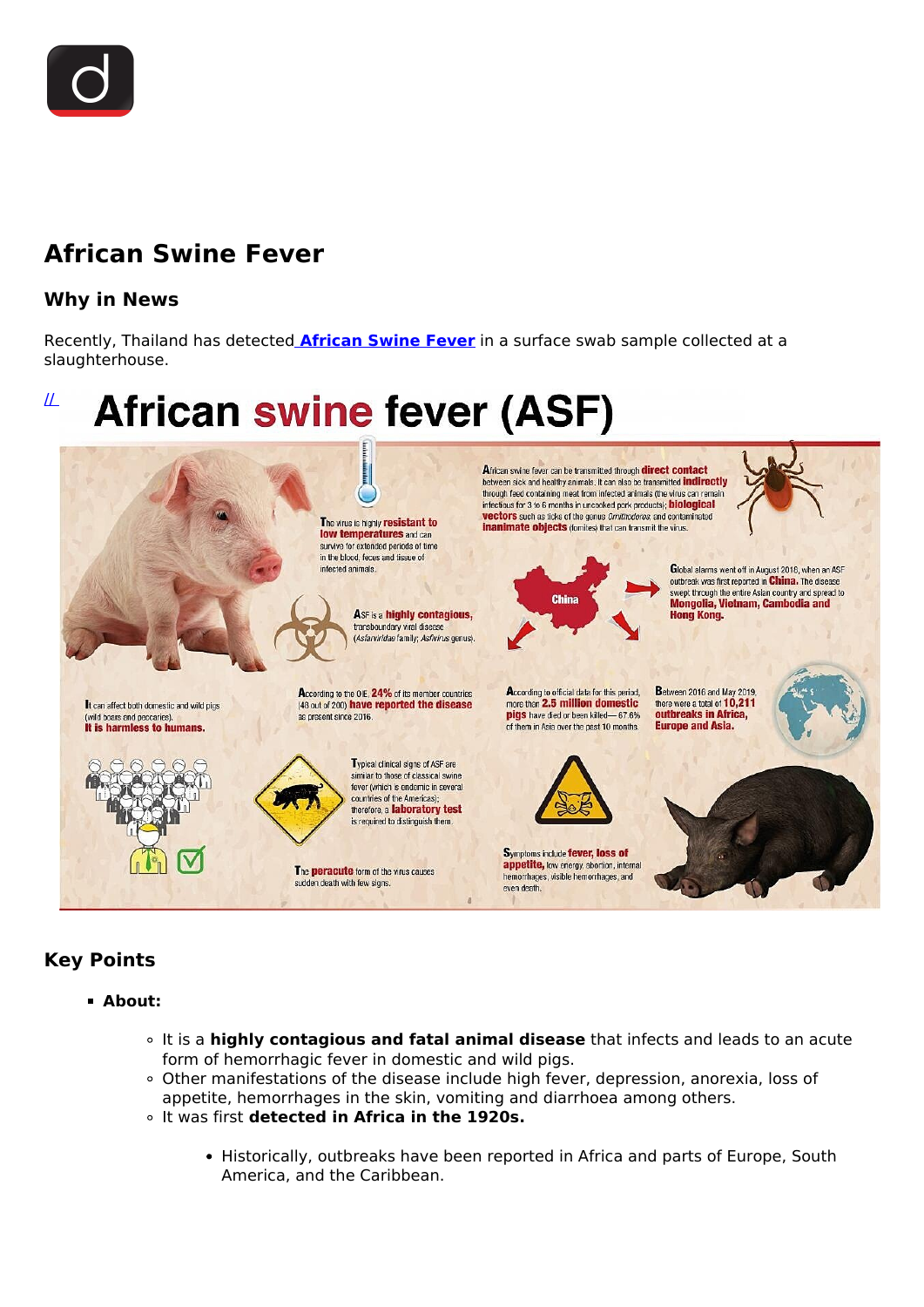

# **African Swine Fever**

## **Why in News**

Recently, Thailand has detected **[African Swine Fever](/daily-updates/daily-news-analysis/african-swine-fever-2)** in a surface swab sample collected at a slaughterhouse.

## $\mathcal{\underline{H}}$ **African swine fever (ASF)**



# **Key Points**

- **About:**
	- It is a **highly contagious and fatal animal disease** that infects and leads to an acute form of hemorrhagic fever in domestic and wild pigs.
	- Other manifestations of the disease include high fever, depression, anorexia, loss of appetite, hemorrhages in the skin, vomiting and diarrhoea among others.
	- It was first **detected in Africa in the 1920s.**
		- Historically, outbreaks have been reported in Africa and parts of Europe, South America, and the Caribbean.